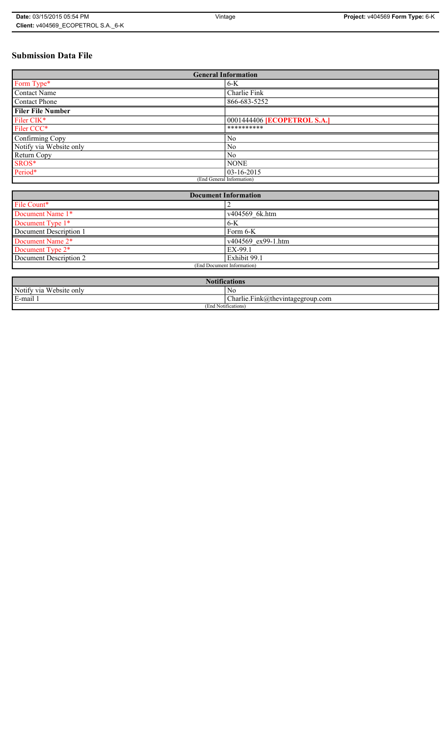# **Submission Data File**

| <b>General Information</b> |                             |  |  |
|----------------------------|-----------------------------|--|--|
| Form Type*                 | $6 - K$                     |  |  |
| Contact Name               | Charlie Fink                |  |  |
| <b>Contact Phone</b>       | 866-683-5252                |  |  |
| <b>Filer File Number</b>   |                             |  |  |
| Filer CIK*                 | 0001444406 [ECOPETROL S.A.] |  |  |
| Filer CCC*                 | **********                  |  |  |
| Confirming Copy            | N <sub>0</sub>              |  |  |
| Notify via Website only    | N <sub>0</sub>              |  |  |
| Return Copy                | N <sub>0</sub>              |  |  |
| SROS*                      | <b>NONE</b>                 |  |  |
| Period*                    | $ 03 - 16 - 2015 $          |  |  |
| (End General Information)  |                             |  |  |

| <b>Document Information</b>  |                    |  |
|------------------------------|--------------------|--|
| File Count*                  |                    |  |
| Document Name 1*             | v404569 6k.htm     |  |
| Document Type 1*             | $6-K$              |  |
| Document Description 1       | Form 6-K           |  |
| Document Name 2*             | v404569 ex99-1.htm |  |
| Document Type 2 <sup>*</sup> | EX-99.1            |  |
| Document Description 2       | Exhibit 99.1       |  |
| (End Document Information)   |                    |  |
|                              |                    |  |

| <b>Notifications</b>    |                                  |  |
|-------------------------|----------------------------------|--|
| Notify via Website only | No                               |  |
| E-mail 1                | Charlie.Fink@thevintagegroup.com |  |
| (End Notifications)     |                                  |  |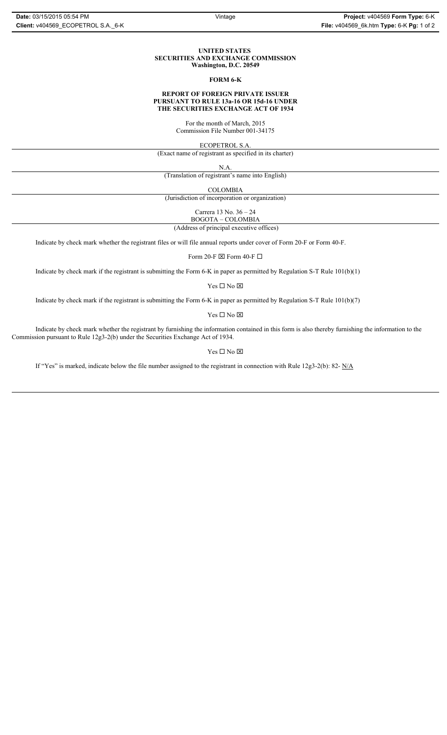#### **UNITED STATES SECURITIES AND EXCHANGE COMMISSION Washington, D.C. 20549**

#### **FORM 6-K**

#### **REPORT OF FOREIGN PRIVATE ISSUER PURSUANT TO RULE 13a-16 OR 15d-16 UNDER THE SECURITIES EXCHANGE ACT OF 1934**

For the month of March, 2015 Commission File Number 001-34175

ECOPETROL S.A.

(Exact name of registrant as specified in its charter)

N.A.

(Translation of registrant's name into English)

COLOMBIA

(Jurisdiction of incorporation or organization)

Carrera 13 No. 36 – 24 BOGOTA – COLOMBIA

(Address of principal executive offices)

Indicate by check mark whether the registrant files or will file annual reports under cover of Form 20-F or Form 40-F.

Form 20-F  $\boxtimes$  Form 40-F  $\Box$ 

Indicate by check mark if the registrant is submitting the Form 6-K in paper as permitted by Regulation S-T Rule 101(b)(1)

Yes $\Box$  No  $\boxtimes$ 

Indicate by check mark if the registrant is submitting the Form 6-K in paper as permitted by Regulation S-T Rule 101(b)(7)

Yes $\Box$  No  $\boxtimes$ 

Indicate by check mark whether the registrant by furnishing the information contained in this form is also thereby furnishing the information to the Commission pursuant to Rule 12g3-2(b) under the Securities Exchange Act of 1934.

#### Yes $\Box$  No  $\boxtimes$

If "Yes" is marked, indicate below the file number assigned to the registrant in connection with Rule 12g3-2(b): 82- N/A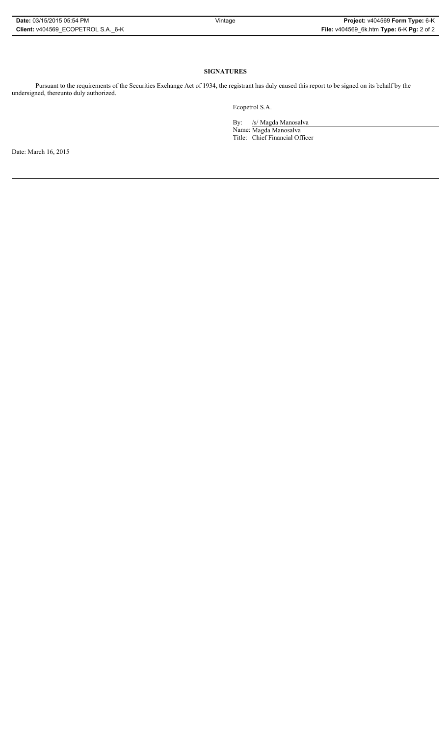### **SIGNATURES**

Pursuant to the requirements of the Securities Exchange Act of 1934, the registrant has duly caused this report to be signed on its behalf by the undersigned, thereunto duly authorized.

Ecopetrol S.A.

By: /s/ Magda Manosalva Name: Magda Manosalva Title: Chief Financial Officer

Date: March 16, 2015